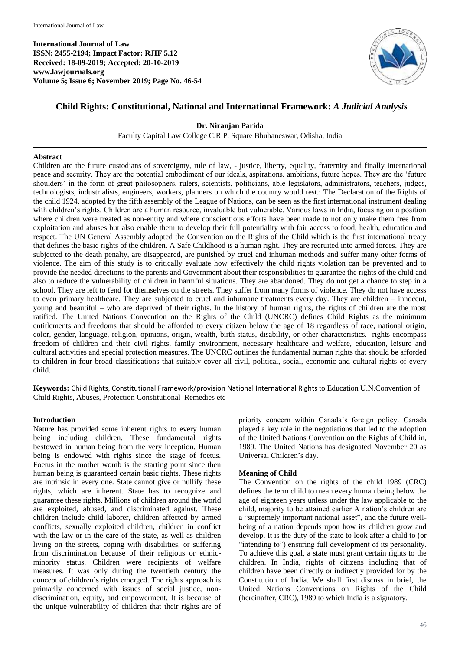**International Journal of Law ISSN: 2455-2194; Impact Factor: RJIF 5.12 Received: 18-09-2019; Accepted: 20-10-2019 www.lawjournals.org Volume 5; Issue 6; November 2019; Page No. 46-54**



# **Child Rights: Constitutional, National and International Framework:** *A Judicial Analysis*

### **Dr. Niranjan Parida**

Faculty Capital Law College C.R.P. Square Bhubaneswar, Odisha, India

### **Abstract**

Children are the future custodians of sovereignty, rule of law, - justice, liberty, equality, fraternity and finally international peace and security. They are the potential embodiment of our ideals, aspirations, ambitions, future hopes. They are the 'future shoulders' in the form of great philosophers, rulers, scientists, politicians, able legislators, administrators, teachers, judges, technologists, industrialists, engineers, workers, planners on which the country would rest.: The Declaration of the Rights of the child 1924, adopted by the fifth assembly of the League of Nations, can be seen as the first international instrument dealing with children's rights. Children are a human resource, invaluable but vulnerable. Various laws in India, focusing on a position where children were treated as non-entity and where conscientious efforts have been made to not only make them free from exploitation and abuses but also enable them to develop their full potentiality with fair access to food, health, education and respect. The UN General Assembly adopted the Convention on the Rights of the Child which is the first international treaty that defines the basic rights of the children. A Safe Childhood is a human right. They are recruited into armed forces. They are subjected to the death penalty, are disappeared, are punished by cruel and inhuman methods and suffer many other forms of violence. The aim of this study is to critically evaluate how effectively the child rights violation can be prevented and to provide the needed directions to the parents and Government about their responsibilities to guarantee the rights of the child and also to reduce the vulnerability of children in harmful situations. They are abandoned. They do not get a chance to step in a school. They are left to fend for themselves on the streets. They suffer from many forms of violence. They do not have access to even primary healthcare. They are subjected to cruel and inhumane treatments every day. They are children – innocent, young and beautiful – who are deprived of their rights. In the history of human rights, the rights of children are the most ratified. The United Nations Convention on the Rights of the Child (UNCRC) defines Child Rights as the minimum entitlements and freedoms that should be afforded to every citizen below the age of 18 regardless of race, national origin, color, gender, language, religion, opinions, origin, wealth, birth status, disability, or other characteristics. rights encompass freedom of children and their civil rights, family environment, necessary healthcare and welfare, education, leisure and cultural activities and special protection measures. The UNCRC outlines the fundamental human rights that should be afforded to children in four broad classifications that suitably cover all civil, political, social, economic and cultural rights of every child.

**Keywords:** Child Rights, Constitutional Framework/provision National International Rights to Education U.N.Convention of Child Rights, Abuses, Protection Constitutional Remedies etc

### **Introduction**

Nature has provided some inherent rights to every human being including children. These fundamental rights bestowed in human being from the very inception. Human being is endowed with rights since the stage of foetus. Foetus in the mother womb is the starting point since then human being is guaranteed certain basic rights. These rights are intrinsic in every one. State cannot give or nullify these rights, which are inherent. State has to recognize and guarantee these rights. Millions of children around the world are exploited, abused, and discriminated against. These children include child laborer, children affected by armed conflicts, sexually exploited children, children in conflict with the law or in the care of the state, as well as children living on the streets, coping with disabilities, or suffering from discrimination because of their religious or ethnicminority status. Children were recipients of welfare measures. It was only during the twentieth century the concept of children's rights emerged. The rights approach is primarily concerned with issues of social justice, nondiscrimination, equity, and empowerment. It is because of the unique vulnerability of children that their rights are of

priority concern within Canada's foreign policy. Canada played a key role in the negotiations that led to the adoption of the United Nations Convention on the Rights of Child in, 1989. The United Nations has designated November 20 as Universal Children's day.

### **Meaning of Child**

The Convention on the rights of the child 1989 (CRC) defines the term child to mean every human being below the age of eighteen years unless under the law applicable to the child, majority to be attained earlier A nation's children are a "supremely important national asset", and the future wellbeing of a nation depends upon how its children grow and develop. It is the duty of the state to look after a child to (or "intending to") ensuring full development of its personality. To achieve this goal, a state must grant certain rights to the children. In India, rights of citizens including that of children have been directly or indirectly provided for by the Constitution of India. We shall first discuss in brief, the United Nations Conventions on Rights of the Child (hereinafter, CRC), 1989 to which India is a signatory.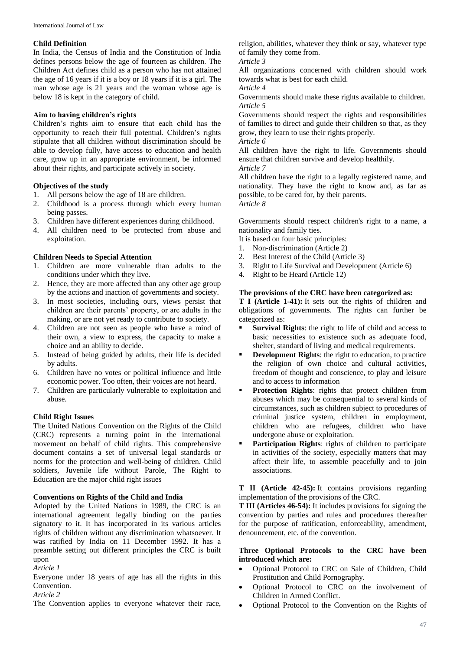### **Child Definition**

In India, the Census of India and the Constitution of India defines persons below the age of fourteen as children. The Children Act defines child as a person who has not att**a**ined the age of 16 years if it is a boy or 18 years if it is a girl. The man whose age is 21 years and the woman whose age is below 18 is kept in the category of child.

### **Aim to having children's rights**

Children's rights aim to ensure that each child has the opportunity to reach their full potential. Children's rights stipulate that all children without discrimination should be able to develop fully, have access to education and health care, grow up in an appropriate environment, be informed about their rights, and participate actively in society.

### **Objectives of the study**

- 1. All persons below the age of 18 are children.
- 2. Childhood is a process through which every human being passes.
- 3. Children have different experiences during childhood.
- 4. All children need to be protected from abuse and exploitation.

#### **Children Needs to Special Attention**

- 1. Children are more vulnerable than adults to the conditions under which they live.
- 2. Hence, they are more affected than any other age group by the actions and inaction of governments and society.
- 3. In most societies, including ours, views persist that children are their parents' property, or are adults in the making, or are not yet ready to contribute to society.
- 4. Children are not seen as people who have a mind of their own, a view to express, the capacity to make a choice and an ability to decide.
- 5. Instead of being guided by adults, their life is decided by adults.
- 6. Children have no votes or political influence and little economic power. Too often, their voices are not heard.
- 7. Children are particularly vulnerable to exploitation and abuse.

### **Child Right Issues**

The United Nations Convention on the Rights of the Child (CRC) represents a turning point in the international movement on behalf of child rights. This comprehensive document contains a set of universal legal standards or norms for the protection and well-being of children. Child soldiers, Juvenile life without Parole, The Right to Education are the major child right issues

### **Conventions on Rights of the Child and India**

Adopted by the United Nations in 1989, the CRC is an international agreement legally binding on the parties signatory to it. It has incorporated in its various articles rights of children without any discrimination whatsoever. It was ratified by India on 11 December 1992. It has a preamble setting out different principles the CRC is built upon

*Article 1*

Everyone under 18 years of age has all the rights in this Convention.

*Article 2*

The Convention applies to everyone whatever their race,

religion, abilities, whatever they think or say, whatever type of family they come from.

*Article 3*

All organizations concerned with children should work towards what is best for each child.

*Article 4*

Governments should make these rights available to children. *Article 5*

Governments should respect the rights and responsibilities of families to direct and guide their children so that, as they grow, they learn to use their rights properly.

*Article 6*

All children have the right to life. Governments should ensure that children survive and develop healthily. *Article 7*

All children have the right to a legally registered name, and nationality. They have the right to know and, as far as possible, to be cared for, by their parents. *Article 8*

Governments should respect children's right to a name, a nationality and family ties.

It is based on four basic principles:

- 1. Non-discrimination (Article 2)
- 2. Best Interest of the Child (Article 3)
- 3. Right to Life Survival and Development (Article 6)
- 4. Right to be Heard (Article 12)

### **The provisions of the CRC have been categorized as:**

**T I (Article 1-41):** It sets out the rights of children and obligations of governments. The rights can further be categorized as:

- **Survival Rights**: the right to life of child and access to basic necessities to existence such as adequate food, shelter, standard of living and medical requirements.
- **Development Rights**: the right to education, to practice the religion of own choice and cultural activities, freedom of thought and conscience, to play and leisure and to access to information
- **Protection Rights**: rights that protect children from abuses which may be consequential to several kinds of circumstances, such as children subject to procedures of criminal justice system, children in employment, children who are refugees, children who have undergone abuse or exploitation.
- Participation Rights: rights of children to participate in activities of the society, especially matters that may affect their life, to assemble peacefully and to join associations.

**T II (Article 42-45):** It contains provisions regarding implementation of the provisions of the CRC.

**T III (Articles 46-54):** It includes provisions for signing the convention by parties and rules and procedures thereafter for the purpose of ratification, enforceability, amendment, denouncement, etc. of the convention.

### **Three Optional Protocols to the CRC have been introduced which are:**

- Optional Protocol to CRC on Sale of Children, Child Prostitution and Child Pornography.
- Optional Protocol to CRC on the involvement of Children in Armed Conflict.
- Optional Protocol to the Convention on the Rights of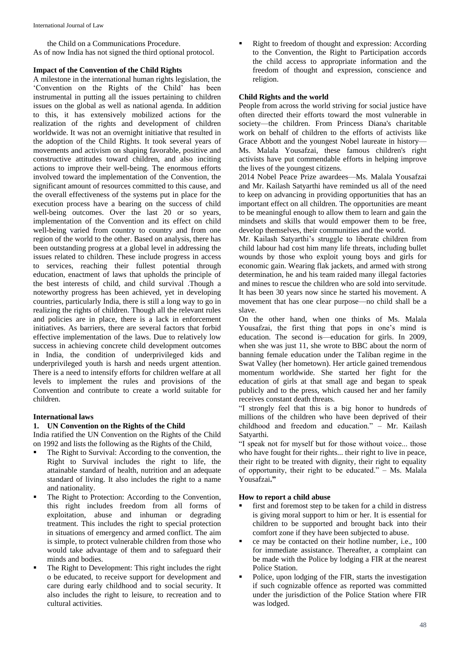the Child on a Communications Procedure. As of now India has not signed the third optional protocol.

### **Impact of the Convention of the Child Rights**

A milestone in the international human rights legislation, the 'Convention on the Rights of the Child' has been instrumental in putting all the issues pertaining to children issues on the global as well as national agenda. In addition to this, it has extensively mobilized actions for the realization of the rights and development of children worldwide. It was not an overnight initiative that resulted in the adoption of the Child Rights. It took several years of movements and activism on shaping favorable, positive and constructive attitudes toward children, and also inciting actions to improve their well-being. The enormous efforts involved toward the implementation of the Convention, the significant amount of resources committed to this cause, and the overall effectiveness of the systems put in place for the execution process have a bearing on the success of child well-being outcomes. Over the last 20 or so years, implementation of the Convention and its effect on child well-being varied from country to country and from one region of the world to the other. Based on analysis, there has been outstanding progress at a global level in addressing the issues related to children. These include progress in access to services, reaching their fullest potential through education, enactment of laws that upholds the principle of the best interests of child, and child survival .Though a noteworthy progress has been achieved, yet in developing countries, particularly India, there is still a long way to go in realizing the rights of children. Though all the relevant rules and policies are in place, there is a lack in enforcement initiatives. As barriers, there are several factors that forbid effective implementation of the laws. Due to relatively low success in achieving concrete child development outcomes in India, the condition of underprivileged kids and underprivileged youth is harsh and needs urgent attention. There is a need to intensify efforts for children welfare at all levels to implement the rules and provisions of the Convention and contribute to create a world suitable for children.

### **International laws**

## **1. UN Convention on the Rights of the Child**

India ratified the UN Convention on the Rights of the Child on 1992 and lists the following as the Rights of the Child,

- The Right to Survival: According to the convention, the Right to Survival includes the right to life, the attainable standard of health, nutrition and an adequate standard of living. It also includes the right to a name and nationality.
- The Right to Protection: According to the Convention, this right includes freedom from all forms of exploitation, abuse and inhuman or degrading treatment. This includes the right to special protection in situations of emergency and armed conflict. The aim is simple, to protect vulnerable children from those who would take advantage of them and to safeguard their minds and bodies.
- The Right to Development: This right includes the right o be educated, to receive support for development and care during early childhood and to social security. It also includes the right to leisure, to recreation and to cultural activities.

 Right to freedom of thought and expression: According to the Convention, the Right to Participation accords the child access to appropriate information and the freedom of thought and expression, conscience and religion.

# **Child Rights and the world**

People from across the world striving for social justice have often directed their efforts toward the most vulnerable in society—the children. From Princess Diana's charitable work on behalf of children to the efforts of activists like Grace Abbott and the youngest Nobel laureate in history— Ms. Malala Yousafzai, these famous children's right activists have put commendable efforts in helping improve the lives of the youngest citizens.

2014 Nobel Peace Prize awardees—Ms. Malala Yousafzai and Mr. Kailash Satyarthi have reminded us all of the need to keep on advancing in providing opportunities that has an important effect on all children. The opportunities are meant to be meaningful enough to allow them to learn and gain the mindsets and skills that would empower them to be free, develop themselves, their communities and the world.

Mr. Kailash Satyarthi's struggle to liberate children from child labour had cost him many life threats, including bullet wounds by those who exploit young boys and girls for economic gain. Wearing flak jackets, and armed with strong determination, he and his team raided many illegal factories and mines to rescue the children who are sold into servitude. It has been 30 years now since he started his movement. A movement that has one clear purpose—no child shall be a slave.

On the other hand, when one thinks of Ms. Malala Yousafzai, the first thing that pops in one's mind is education. The second is—education for girls. In 2009, when she was just 11, she wrote to BBC about the norm of banning female education under the Taliban regime in the Swat Valley (her hometown). Her article gained tremendous momentum worldwide. She started her fight for the education of girls at that small age and began to speak publicly and to the press, which caused her and her family receives constant death threats.

"I strongly feel that this is a big honor to hundreds of millions of the children who have been deprived of their childhood and freedom and education." – Mr. Kailash Satyarthi.

"I speak not for myself but for those without voice... those who have fought for their rights... their right to live in peace, their right to be treated with dignity, their right to equality of opportunity, their right to be educated." – Ms. Malala Yousafzai**."**

### **How to report a child abuse**

- first and foremost step to be taken for a child in distress is giving moral support to him or her. It is essential for children to be supported and brought back into their comfort zone if they have been subjected to abuse.
- ce may be contacted on their hotline number, i.e., 100 for immediate assistance. Thereafter, a complaint can be made with the Police by lodging a FIR at the nearest Police Station.
- Police, upon lodging of the FIR, starts the investigation if such cognizable offence as reported was committed under the jurisdiction of the Police Station where FIR was lodged.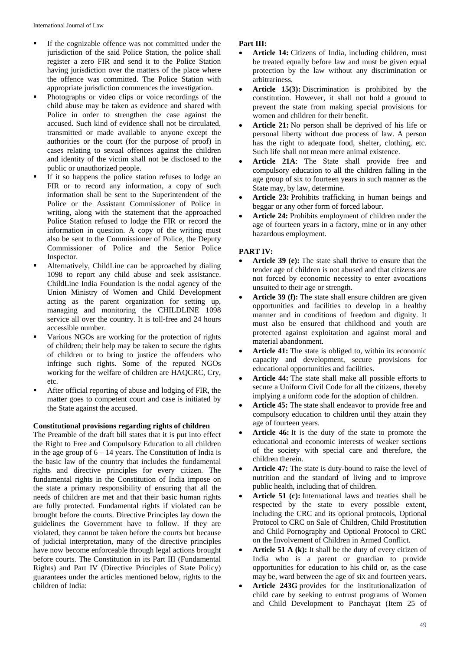- If the cognizable offence was not committed under the jurisdiction of the said Police Station, the police shall register a zero FIR and send it to the Police Station having jurisdiction over the matters of the place where the offence was committed. The Police Station with appropriate jurisdiction commences the investigation.
- Photographs or video clips or voice recordings of the child abuse may be taken as evidence and shared with Police in order to strengthen the case against the accused. Such kind of evidence shall not be circulated, transmitted or made available to anyone except the authorities or the court (for the purpose of proof) in cases relating to sexual offences against the children and identity of the victim shall not be disclosed to the public or unauthorized people.
- If it so happens the police station refuses to lodge an FIR or to record any information, a copy of such information shall be sent to the Superintendent of the Police or the Assistant Commissioner of Police in writing, along with the statement that the approached Police Station refused to lodge the FIR or record the information in question. A copy of the writing must also be sent to the Commissioner of Police, the Deputy Commissioner of Police and the Senior Police Inspector.
- Alternatively, ChildLine can be approached by dialing 1098 to report any child abuse and seek assistance. ChildLine India Foundation is the nodal agency of the Union Ministry of Women and Child Development acting as the parent organization for setting up, managing and monitoring the CHILDLINE 1098 service all over the country. It is toll-free and 24 hours accessible number.
- Various NGOs are working for the protection of rights of children; their help may be taken to secure the rights of children or to bring to justice the offenders who infringe such rights. Some of the reputed NGOs working for the welfare of children are HAQCRC, Cry, etc.
- After official reporting of abuse and lodging of FIR, the matter goes to competent court and case is initiated by the State against the accused.

### **Constitutional provisions regarding rights of children**

The Preamble of the draft bill states that it is put into effect the Right to Free and Compulsory Education to all children in the age group of  $6 - 14$  years. The Constitution of India is the basic law of the country that includes the fundamental rights and directive principles for every citizen. The fundamental rights in the Constitution of India impose on the state a primary responsibility of ensuring that all the needs of children are met and that their basic human rights are fully protected. Fundamental rights if violated can be brought before the courts. Directive Principles lay down the guidelines the Government have to follow. If they are violated, they cannot be taken before the courts but because of judicial interpretation, many of the directive principles have now become enforceable through legal actions brought before courts. The Constitution in its Part III (Fundamental Rights) and Part IV (Directive Principles of State Policy) guarantees under the articles mentioned below, rights to the children of India:

# **Part III:**

- **Article 14:** Citizens of India, including children, must be treated equally before law and must be given equal protection by the law without any discrimination or arbitrariness.
- **Article 15(3):** Discrimination is prohibited by the constitution. However, it shall not hold a ground to prevent the state from making special provisions for women and children for their benefit.
- **Article 21:** No person shall be deprived of his life or personal liberty without due process of law. A person has the right to adequate food, shelter, clothing, etc. Such life shall not mean mere animal existence.
- **Article 21A**: The State shall provide free and compulsory education to all the children falling in the age group of six to fourteen years in such manner as the State may, by law, determine.
- **Article 23:** Prohibits trafficking in human beings and beggar or any other form of forced labour.
- **Article 24:** Prohibits employment of children under the age of fourteen years in a factory, mine or in any other hazardous employment.

# **PART IV:**

- **Article 39 (e):** The state shall thrive to ensure that the tender age of children is not abused and that citizens are not forced by economic necessity to enter avocations unsuited to their age or strength.
- **Article 39 (f):** The state shall ensure children are given opportunities and facilities to develop in a healthy manner and in conditions of freedom and dignity. It must also be ensured that childhood and youth are protected against exploitation and against moral and material abandonment.
- **Article 41:** The state is obliged to, within its economic capacity and development, secure provisions for educational opportunities and facilities.
- **Article 44:** The state shall make all possible efforts to secure a Uniform Civil Code for all the citizens, thereby implying a uniform code for the adoption of children.
- **Article 45:** The state shall endeavor to provide free and compulsory education to children until they attain they age of fourteen years.
- **Article 46:** It is the duty of the state to promote the educational and economic interests of weaker sections of the society with special care and therefore, the children therein.
- **Article 47:** The state is duty-bound to raise the level of nutrition and the standard of living and to improve public health, including that of children.
- **Article 51 (c):** International laws and treaties shall be respected by the state to every possible extent, including the CRC and its optional protocols, Optional Protocol to CRC on Sale of Children, Child Prostitution and Child Pornography and Optional Protocol to CRC on the Involvement of Children in Armed Conflict.
- **Article 51 A (k):** It shall be the duty of every citizen of India who is a parent or guardian to provide opportunities for education to his child or, as the case may be, ward between the age of six and fourteen years.
- **Article 243G** provides for the institutionalization of child care by seeking to entrust programs of Women and Child Development to Panchayat (Item 25 of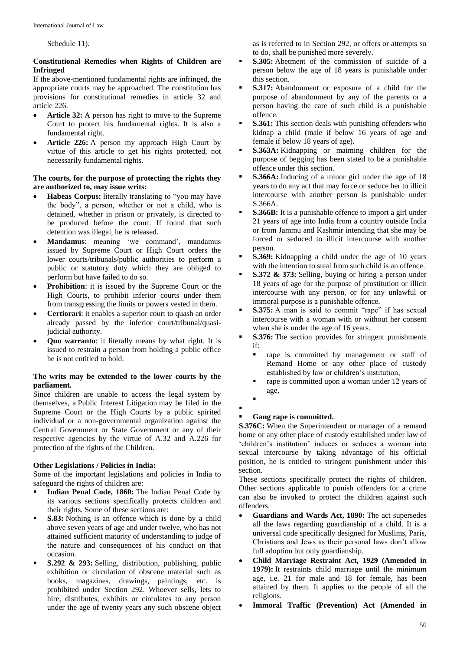Schedule 11).

# **Constitutional Remedies when Rights of Children are Infringed**

If the above-mentioned fundamental rights are infringed, the appropriate courts may be approached. The constitution has provisions for constitutional remedies in article 32 and article 226.

- **Article 32:** A person has right to move to the Supreme Court to protect his fundamental rights. It is also a fundamental right.
- **Article 226:** A person my approach High Court by virtue of this article to get his rights protected, not necessarily fundamental rights.

### **The courts, for the purpose of protecting the rights they are authorized to, may issue writs:**

- **Habeas Corpus:** literally translating to "you may have the body", a person, whether or not a child, who is detained, whether in prison or privately, is directed to be produced before the court. If found that such detention was illegal, he is released.
- **Mandamus**: meaning 'we command', mandamus issued by Supreme Court or High Court orders the lower courts/tribunals/public authorities to perform a public or statutory duty which they are obliged to perform but have failed to do so.
- **Prohibition:** it is issued by the Supreme Court or the High Courts, to prohibit inferior courts under them from transgressing the limits or powers vested in them.
- **Certiorari:** it enables a superior court to quash an order already passed by the inferior court/tribunal/quasijudicial authority.
- **Quo warranto**: it literally means by what right. It is issued to restrain a person from holding a public office he is not entitled to hold.

### **The writs may be extended to the lower courts by the parliament.**

Since children are unable to access the legal system by themselves, a Public Interest Litigation may be filed in the Supreme Court or the High Courts by a public spirited individual or a non-governmental organization against the Central Government or State Government or any of their respective agencies by the virtue of A.32 and A.226 for protection of the rights of the Children.

# **Other Legislations / Policies in India:**

Some of the important legislations and policies in India to safeguard the rights of children are:

- **Indian Penal Code, 1860:** The Indian Penal Code by its various sections specifically protects children and their rights. Some of these sections are:
- **S.83:** Nothing is an offence which is done by a child above seven years of age and under twelve, who has not attained sufficient maturity of understanding to judge of the nature and consequences of his conduct on that occasion.
- **S.292 & 293:** Selling, distribution, publishing, public exhibition or circulation of obscene material such as books, magazines, drawings, paintings, etc. is prohibited under Section 292. Whoever sells, lets to hire, distributes, exhibits or circulates to any person under the age of twenty years any such obscene object

as is referred to in Section 292, or offers or attempts so to do, shall be punished more severely.

- **S.305:** Abetment of the commission of suicide of a person below the age of 18 years is punishable under this section.
- **S.317:** Abandonment or exposure of a child for the purpose of abandonment by any of the parents or a person having the care of such child is a punishable offence.
- **S.361:** This section deals with punishing offenders who kidnap a child (male if below 16 years of age and female if below 18 years of age).
- **S.363A:** Kidnapping or maiming children for the purpose of begging has been stated to be a punishable offence under this section.
- **S.366A:** Inducing of a minor girl under the age of 18 years to do any act that may force or seduce her to illicit intercourse with another person is punishable under S.366A.
- **S.366B:** It is a punishable offence to import a girl under 21 years of age into India from a country outside India or from Jammu and Kashmir intending that she may be forced or seduced to illicit intercourse with another person.
- **S.369:** Kidnapping a child under the age of 10 years with the intention to steal from such child is an offence.
- **S.372 & 373:** Selling, buying or hiring a person under 18 years of age for the purpose of prostitution or illicit intercourse with any person, or for any unlawful or immoral purpose is a punishable offence.
- **S.375:** A man is said to commit "rape" if has sexual intercourse with a woman with or without her consent when she is under the age of 16 years.
- **S.376:** The section provides for stringent punishments if:
	- rape is committed by management or staff of Remand Home or any other place of custody established by law or children's institution,
	- rape is committed upon a woman under 12 years of age,
	- $\blacksquare$
- $\blacksquare$

# **Gang rape is committed.**

**S.376C:** When the Superintendent or manager of a remand home or any other place of custody established under law of 'children's institution' induces or seduces a woman into sexual intercourse by taking advantage of his official position, he is entitled to stringent punishment under this section.

These sections specifically protect the rights of children. Other sections applicable to punish offenders for a crime can also be invoked to protect the children against such offenders.

- **Guardians and Wards Act, 1890:** The act supersedes all the laws regarding guardianship of a child. It is a universal code specifically designed for Muslims, Paris, Christians and Jews as their personal laws don't allow full adoption but only guardianship.
- **Child Marriage Restraint Act, 1929 (Amended in 1979):** It restraints child marriage until the minimum age, i.e. 21 for male and 18 for female, has been attained by them. It applies to the people of all the religions.
- **Immoral Traffic (Prevention) Act (Amended in**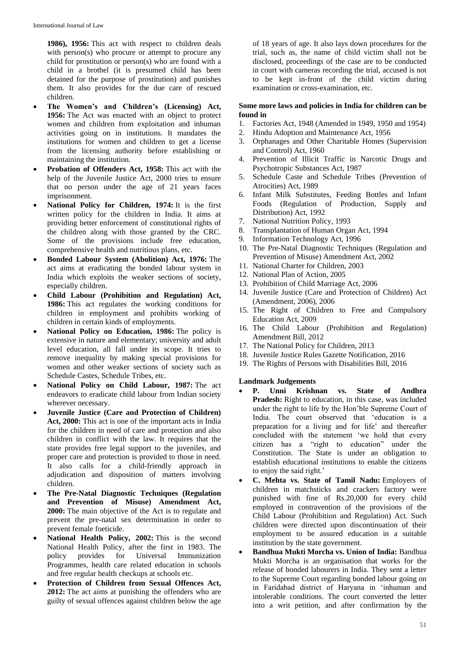**1986), 1956:** This act with respect to children deals with person(s) who procure or attempt to procure any child for prostitution or person(s) who are found with a child in a brothel (it is presumed child has been detained for the purpose of prostitution) and punishes them. It also provides for the due care of rescued children.

- **The Women's and Children's (Licensing) Act, 1956:** The Act was enacted with an object to protect women and children from exploitation and inhuman activities going on in institutions. It mandates the institutions for women and children to get a license from the licensing authority before establishing or maintaining the institution.
- **Probation of Offenders Act, 1958:** This act with the help of the Juvenile Justice Act, 2000 tries to ensure that no person under the age of 21 years faces imprisonment.
- **National Policy for Children, 1974:** It is the first written policy for the children in India. It aims at providing better enforcement of constitutional rights of the children along with those granted by the CRC. Some of the provisions include free education, comprehensive health and nutritious plans, etc.
- **Bonded Labour System (Abolition) Act, 1976:** The act aims at eradicating the bonded labour system in India which exploits the weaker sections of society, especially children.
- **Child Labour (Prohibition and Regulation) Act, 1986:** This act regulates the working conditions for children in employment and prohibits working of children in certain kinds of employments.
- **National Policy on Education, 1986:** The policy is extensive in nature and elementary; university and adult level education, all fall under its scope. It tries to remove inequality by making special provisions for women and other weaker sections of society such as Schedule Castes, Schedule Tribes, etc.
- **National Policy on Child Labour, 1987:** The act endeavors to eradicate child labour from Indian society wherever necessary.
- **Juvenile Justice (Care and Protection of Children) Act, 2000:** This act is one of the important acts in India for the children in need of care and protection and also children in conflict with the law. It requires that the state provides free legal support to the juveniles, and proper care and protection is provided to those in need. It also calls for a child-friendly approach in adjudication and disposition of matters involving children.
- **The Pre-Natal Diagnostic Techniques (Regulation and Prevention of Misuse) Amendment Act, 2000:** The main objective of the Act is to regulate and prevent the pre-natal sex determination in order to prevent female foeticide.
- **National Health Policy, 2002:** This is the second National Health Policy, after the first in 1983. The policy provides for Universal Immunization Programmes, health care related education in schools and free regular health checkups at schools etc.
- **Protection of Children from Sexual Offences Act, 2012:** The act aims at punishing the offenders who are guilty of sexual offences against children below the age

of 18 years of age. It also lays down procedures for the trial, such as, the name of child victim shall not be disclosed, proceedings of the case are to be conducted in court with cameras recording the trial, accused is not to be kept in-front of the child victim during examination or cross-examination, etc.

# **Some more laws and policies in India for children can be found in**

- 1. Factories Act, 1948 (Amended in 1949, 1950 and 1954)
- 2. Hindu Adoption and Maintenance Act, 1956
- 3. Orphanages and Other Charitable Homes (Supervision and Control) Act, 1960
- 4. Prevention of Illicit Traffic in Narcotic Drugs and Psychotropic Substances Act, 1987
- 5. Schedule Caste and Schedule Tribes (Prevention of Atrocities) Act, 1989
- 6. Infant Milk Substitutes, Feeding Bottles and Infant Foods (Regulation of Production, Supply and Distribution) Act, 1992
- 
- 7. National Nutrition Policy, 1993 8. Transplantation of Human Organ Act, 1994
- 9. Information Technology Act, 1996
- 10. The Pre-Natal Diagnostic Techniques (Regulation and Prevention of Misuse) Amendment Act, 2002
- 11. National Charter for Children, 2003
- 12. National Plan of Action, 2005
- 13. Prohibition of Child Marriage Act, 2006
- 14. Juvenile Justice (Care and Protection of Children) Act (Amendment, 2006), 2006
- 15. The Right of Children to Free and Compulsory Education Act, 2009
- 16. The Child Labour (Prohibition and Regulation) Amendment Bill, 2012
- 17. The National Policy for Children, 2013
- 18. Juvenile Justice Rules Gazette Notification, 2016
- 19. The Rights of Persons with Disabilities Bill, 2016

# **Landmark Judgements**

- **P. Unni Krishnan vs. State of Andhra Pradesh:** Right to education, in this case, was included under the right to life by the Hon'ble Supreme Court of India. The court observed that 'education is a preparation for a living and for life' and thereafter concluded with the statement 'we hold that every citizen has a "right to education" under the Constitution. The State is under an obligation to establish educational institutions to enable the citizens to enjoy the said right.'
- **C. Mehta vs. State of Tamil Nadu:** Employers of children in matchsticks and crackers factory were punished with fine of Rs.20,000 for every child employed in contravention of the provisions of the Child Labour (Prohibition and Regulation) Act. Such children were directed upon discontinuation of their employment to be assured education in a suitable institution by the state government.
- **Bandhua Mukti Morcha vs. Union of India:** Bandhua Mukti Morcha is an organisation that works for the release of bonded labourers in India. They sent a letter to the Supreme Court regarding bonded labour going on in Faridabad district of Haryana in 'inhuman and intolerable conditions. The court converted the letter into a writ petition, and after confirmation by the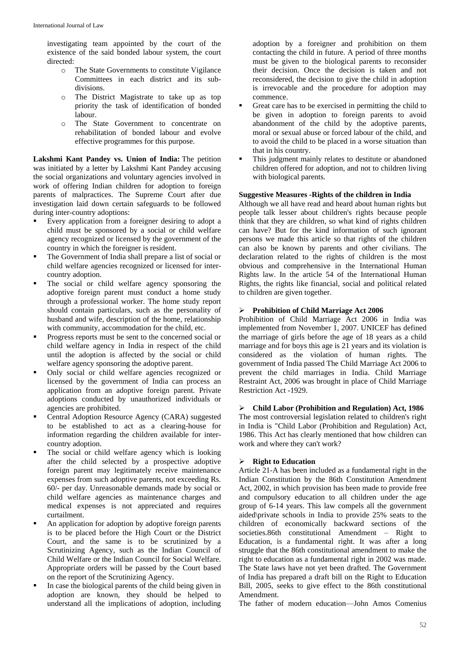investigating team appointed by the court of the existence of the said bonded labour system, the court directed:

- o The State Governments to constitute Vigilance Committees in each district and its subdivisions.
- o The District Magistrate to take up as top priority the task of identification of bonded labour.
- o The State Government to concentrate on rehabilitation of bonded labour and evolve effective programmes for this purpose.

**Lakshmi Kant Pandey vs. Union of India:** The petition was initiated by a letter by Lakshmi Kant Pandey accusing the social organizations and voluntary agencies involved in work of offering Indian children for adoption to foreign parents of malpractices. The Supreme Court after due investigation laid down certain safeguards to be followed during inter-country adoptions:

- Every application from a foreigner desiring to adopt a child must be sponsored by a social or child welfare agency recognized or licensed by the government of the country in which the foreigner is resident.
- The Government of India shall prepare a list of social or child welfare agencies recognized or licensed for intercountry adoption.
- $\blacksquare$  The social or child welfare agency sponsoring the adoptive foreign parent must conduct a home study through a professional worker. The home study report should contain particulars, such as the personality of husband and wife, description of the home, relationship with community, accommodation for the child, etc.
- Progress reports must be sent to the concerned social or child welfare agency in India in respect of the child until the adoption is affected by the social or child welfare agency sponsoring the adoptive parent.
- Only social or child welfare agencies recognized or licensed by the government of India can process an application from an adoptive foreign parent. Private adoptions conducted by unauthorized individuals or agencies are prohibited.
- Central Adoption Resource Agency (CARA) suggested to be established to act as a clearing-house for information regarding the children available for intercountry adoption.
- The social or child welfare agency which is looking after the child selected by a prospective adoptive foreign parent may legitimately receive maintenance expenses from such adoptive parents, not exceeding Rs. 60/- per day. Unreasonable demands made by social or child welfare agencies as maintenance charges and medical expenses is not appreciated and requires curtailment.
- An application for adoption by adoptive foreign parents is to be placed before the High Court or the District Court, and the same is to be scrutinized by a Scrutinizing Agency, such as the Indian Council of Child Welfare or the Indian Council for Social Welfare. Appropriate orders will be passed by the Court based on the report of the Scrutinizing Agency.
- In case the biological parents of the child being given in adoption are known, they should be helped to understand all the implications of adoption, including

adoption by a foreigner and prohibition on them contacting the child in future. A period of three months must be given to the biological parents to reconsider their decision. Once the decision is taken and not reconsidered, the decision to give the child in adoption is irrevocable and the procedure for adoption may commence.

- Great care has to be exercised in permitting the child to be given in adoption to foreign parents to avoid abandonment of the child by the adoptive parents, moral or sexual abuse or forced labour of the child, and to avoid the child to be placed in a worse situation than that in his country.
- This judgment mainly relates to destitute or abandoned children offered for adoption, and not to children living with biological parents.

# **Suggestive Measures -Rights of the children in India**

Although we all have read and heard about human rights but people talk lesser about children's rights because people think that they are children, so what kind of rights children can have? But for the kind information of such ignorant persons we made this article so that rights of the children can also be known by parents and other civilians. The declaration related to the rights of children is the most obvious and comprehensive in the International Human Rights law. In the article 54 of the International Human Rights, the rights like financial, social and political related to children are given together.

## **Prohibition of Child Marriage Act 2006**

Prohibition of Child Marriage Act 2006 in India was implemented from November 1, 2007. UNICEF has defined the marriage of girls before the age of 18 years as a child marriage and for boys this age is 21 years and its violation is considered as the violation of human rights. The government of India passed The Child Marriage Act 2006 to prevent the child marriages in India. Child Marriage Restraint Act, 2006 was brought in place of Child Marriage Restriction Act -1929.

# **Child Labor (Prohibition and Regulation) Act, 1986**

The most controversial legislation related to children's right in India is "Child Labor (Prohibition and Regulation) Act, 1986. This Act has clearly mentioned that how children can work and where they can't work?

# **Right to Education**

Article 21-A has been included as a fundamental right in the Indian Constitution by the 86th Constitution Amendment Act, 2002, in which provision has been made to provide free and compulsory education to all children under the age group of 6-14 years. This law compels all the government aided\private schools in India to provide 25% seats to the children of economically backward sections of the societies.86th constitutional Amendment – Right to Education, is a fundamental right. It was after a long struggle that the 86th constitutional amendment to make the right to education as a fundamental right in 2002 was made. The State laws have not yet been drafted. The Government of India has prepared a draft bill on the Right to Education Bill, 2005, seeks to give effect to the 86th constitutional Amendment.

The father of modern education—John Amos Comenius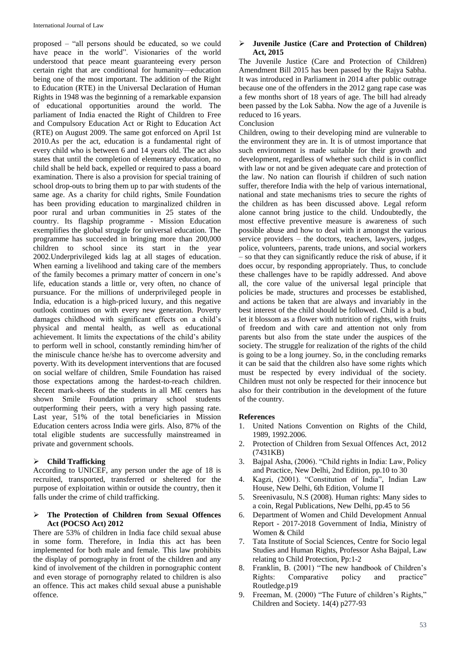proposed – "all persons should be educated, so we could have peace in the world". Visionaries of the world understood that peace meant guaranteeing every person certain right that are conditional for humanity—education being one of the most important. The addition of the Right to Education (RTE) in the Universal Declaration of Human Rights in 1948 was the beginning of a remarkable expansion of educational opportunities around the world. The parliament of India enacted the Right of Children to Free and Compulsory Education Act or Right to Education Act (RTE) on August 2009. The same got enforced on April 1st 2010.As per the act, education is a fundamental right of every child who is between 6 and 14 years old. The act also states that until the completion of elementary education, no child shall be held back, expelled or required to pass a board examination. There is also a provision for special training of school drop-outs to bring them up to par with students of the same age. As a charity for child rights, Smile Foundation has been providing education to marginalized children in poor rural and urban communities in 25 states of the country. Its flagship programme - Mission Education exemplifies the global struggle for universal education. The programme has succeeded in bringing more than 200,000 children to school since its start in the year 2002.Underprivileged kids lag at all stages of education. When earning a livelihood and taking care of the members of the family becomes a primary matter of concern in one's life, education stands a little or, very often, no chance of pursuance. For the millions of underprivileged people in India, education is a high-priced luxury, and this negative outlook continues on with every new generation. Poverty damages childhood with significant effects on a child's physical and mental health, as well as educational achievement. It limits the expectations of the child's ability to perform well in school, constantly reminding him/her of the miniscule chance he/she has to overcome adversity and poverty. With its development interventions that are focused on social welfare of children, Smile Foundation has raised those expectations among the hardest-to-reach children. Recent mark-sheets of the students in all ME centers has shown Smile Foundation primary school students outperforming their peers, with a very high passing rate. Last year, 51% of the total beneficiaries in Mission Education centers across India were girls. Also, 87% of the total eligible students are successfully mainstreamed in private and government schools.

# **Child Trafficking**

According to UNICEF, any person under the age of 18 is recruited, transported, transferred or sheltered for the purpose of exploitation within or outside the country, then it falls under the crime of child trafficking.

#### **The Protection of Children from Sexual Offences Act (POCSO Act) 2012**

There are 53% of children in India face child sexual abuse in some form. Therefore, in India this act has been implemented for both male and female. This law prohibits the display of pornography in front of the children and any kind of involvement of the children in pornographic content and even storage of pornography related to children is also an offence. This act makes child sexual abuse a punishable offence.

### **Juvenile Justice (Care and Protection of Children) Act, 2015**

The Juvenile Justice (Care and Protection of Children) Amendment Bill 2015 has been passed by the Rajya Sabha. It was introduced in Parliament in 2014 after public outrage because one of the offenders in the 2012 gang rape case was a few months short of 18 years of age. The bill had already been passed by the Lok Sabha. Now the age of a Juvenile is reduced to 16 years.

## Conclusion

Children, owing to their developing mind are vulnerable to the environment they are in. It is of utmost importance that such environment is made suitable for their growth and development, regardless of whether such child is in conflict with law or not and be given adequate care and protection of the law. No nation can flourish if children of such nation suffer, therefore India with the help of various international, national and state mechanisms tries to secure the rights of the children as has been discussed above. Legal reform alone cannot bring justice to the child. Undoubtedly, the most effective preventive measure is awareness of such possible abuse and how to deal with it amongst the various service providers – the doctors, teachers, lawyers, judges, police, volunteers, parents, trade unions, and social workers – so that they can significantly reduce the risk of abuse, if it does occur, by responding appropriately. Thus, to conclude these challenges have to be rapidly addressed. And above all, the core value of the universal legal principle that policies be made, structures and processes be established, and actions be taken that are always and invariably in the best interest of the child should be followed. Child is a bud, let it blossom as a flower with nutrition of rights, with fruits of freedom and with care and attention not only from parents but also from the state under the auspices of the society. The struggle for realization of the rights of the child is going to be a long journey. So, in the concluding remarks it can be said that the children also have some rights which must be respected by every individual of the society. Children must not only be respected for their innocence but also for their contribution in the development of the future of the country.

### **References**

- 1. United Nations Convention on Rights of the Child, 1989, 1992.2006.
- 2. Protection of Children from Sexual Offences Act, 2012 (7431KB)
- 3. Bajpal Asha, (2006). "Child rights in India: Law, Policy and Practice, New Delhi, 2nd Edition, pp.10 to 30
- 4. Kagzi, (2001). "Constitution of India", Indian Law House, New Delhi, 6th Edition, Volume II
- 5. Sreenivasulu, N.S (2008). Human rights: Many sides to a coin, Regal Publications, New Delhi, pp.45 to 56
- 6. Department of Women and Child Development Annual Report - 2017-2018 Government of India, Ministry of Women & Child
- 7. Tata Institute of Social Sciences, Centre for Socio legal Studies and Human Rights, Professor Asha Bajpal, Law relating to Child Protection, Pp:1-2
- 8. Franklin, B. (2001) "The new handbook of Children's Rights: Comparative policy and practice" Routledge.p19
- 9. Freeman, M. (2000) "The Future of children's Rights," Children and Society. 14(4) p277-93